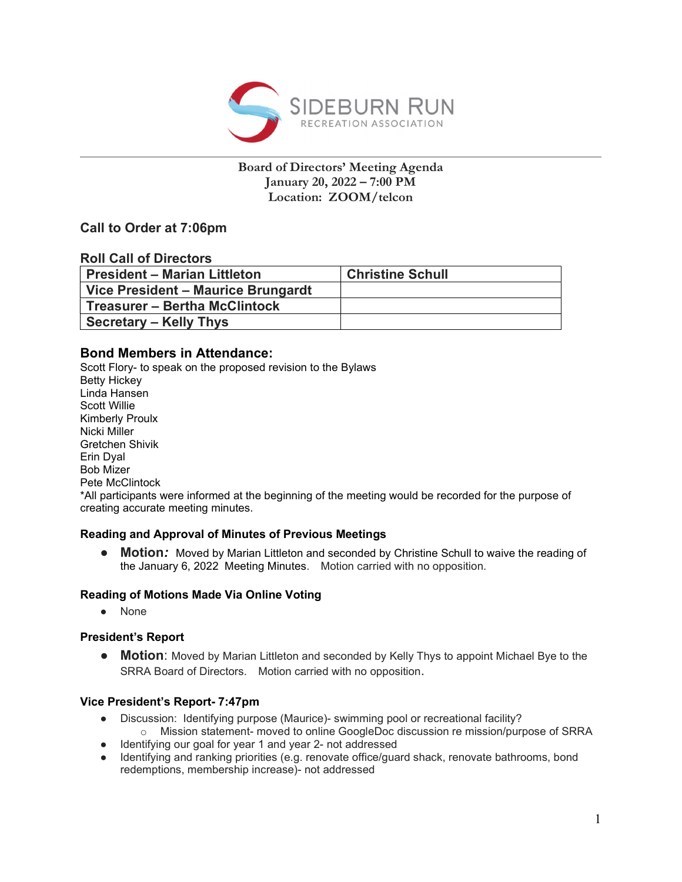

### Board of Directors' Meeting Agenda January 20, 2022 – 7:00 PM Location: ZOOM/telcon

# Call to Order at 7:06pm

### Roll Call of Directors

| President – Marian Littleton              | <b>Christine Schull</b> |
|-------------------------------------------|-------------------------|
| <b>Vice President - Maurice Brungardt</b> |                         |
| Treasurer - Bertha McClintock             |                         |
| <b>Secretary – Kelly Thys</b>             |                         |

# Bond Members in Attendance:

Scott Flory- to speak on the proposed revision to the Bylaws Betty Hickey Linda Hansen Scott Willie Kimberly Proulx Nicki Miller Gretchen Shivik Erin Dyal Bob Mizer Pete McClintock \*All participants were informed at the beginning of the meeting would be recorded for the purpose of creating accurate meeting minutes.

### Reading and Approval of Minutes of Previous Meetings

● Motion: Moved by Marian Littleton and seconded by Christine Schull to waive the reading of the January 6, 2022 Meeting Minutes. Motion carried with no opposition.

### Reading of Motions Made Via Online Voting

● None

### President's Report

● Motion: Moved by Marian Littleton and seconded by Kelly Thys to appoint Michael Bye to the SRRA Board of Directors. Motion carried with no opposition.

### Vice President's Report- 7:47pm

- Discussion: Identifying purpose (Maurice)- swimming pool or recreational facility?  $\circ$  Mission statement- moved to online GoogleDoc discussion re mission/purpose of SRRA
- Identifying our goal for year 1 and year 2- not addressed
- Identifying and ranking priorities (e.g. renovate office/guard shack, renovate bathrooms, bond redemptions, membership increase)- not addressed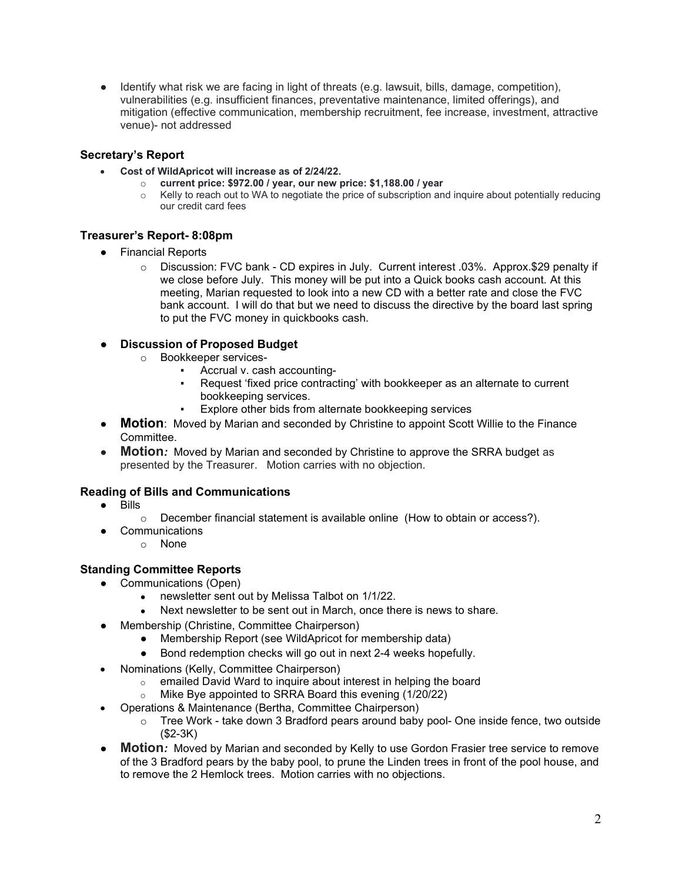● Identify what risk we are facing in light of threats (e.g. lawsuit, bills, damage, competition), vulnerabilities (e.g. insufficient finances, preventative maintenance, limited offerings), and mitigation (effective communication, membership recruitment, fee increase, investment, attractive venue)- not addressed

# Secretary's Report

- Cost of WildApricot will increase as of 2/24/22.
	- o current price: \$972.00 / year, our new price: \$1,188.00 / year
	- $\circ$  Kelly to reach out to WA to negotiate the price of subscription and inquire about potentially reducing our credit card fees

# Treasurer's Report- 8:08pm

- Financial Reports
	- o Discussion: FVC bank CD expires in July. Current interest .03%. Approx.\$29 penalty if we close before July. This money will be put into a Quick books cash account. At this meeting, Marian requested to look into a new CD with a better rate and close the FVC bank account. I will do that but we need to discuss the directive by the board last spring to put the FVC money in quickbooks cash.

### **Discussion of Proposed Budget**

- o Bookkeeper services-
	- Accrual v. cash accounting-
	- Request 'fixed price contracting' with bookkeeper as an alternate to current bookkeeping services.
	- Explore other bids from alternate bookkeeping services
- Motion: Moved by Marian and seconded by Christine to appoint Scott Willie to the Finance Committee.
- Motion: Moved by Marian and seconded by Christine to approve the SRRA budget as presented by the Treasurer. Motion carries with no objection.

# Reading of Bills and Communications

- Bills
	- $\circ$  December financial statement is available online (How to obtain or access?).
	- **Communications** 
		- o None

### Standing Committee Reports

- Communications (Open)
	- newsletter sent out by Melissa Talbot on 1/1/22.
	- Next newsletter to be sent out in March, once there is news to share.
- Membership (Christine, Committee Chairperson)
	- Membership Report (see WildApricot for membership data)
	- Bond redemption checks will go out in next 2-4 weeks hopefully.
- Nominations (Kelly, Committee Chairperson)
	- $\circ$  emailed David Ward to inquire about interest in helping the board
	- o Mike Bye appointed to SRRA Board this evening (1/20/22)
- Operations & Maintenance (Bertha, Committee Chairperson)
	- $\circ$  Tree Work take down 3 Bradford pears around baby pool- One inside fence, two outside (\$2-3K)
- Motion: Moved by Marian and seconded by Kelly to use Gordon Frasier tree service to remove of the 3 Bradford pears by the baby pool, to prune the Linden trees in front of the pool house, and to remove the 2 Hemlock trees. Motion carries with no objections.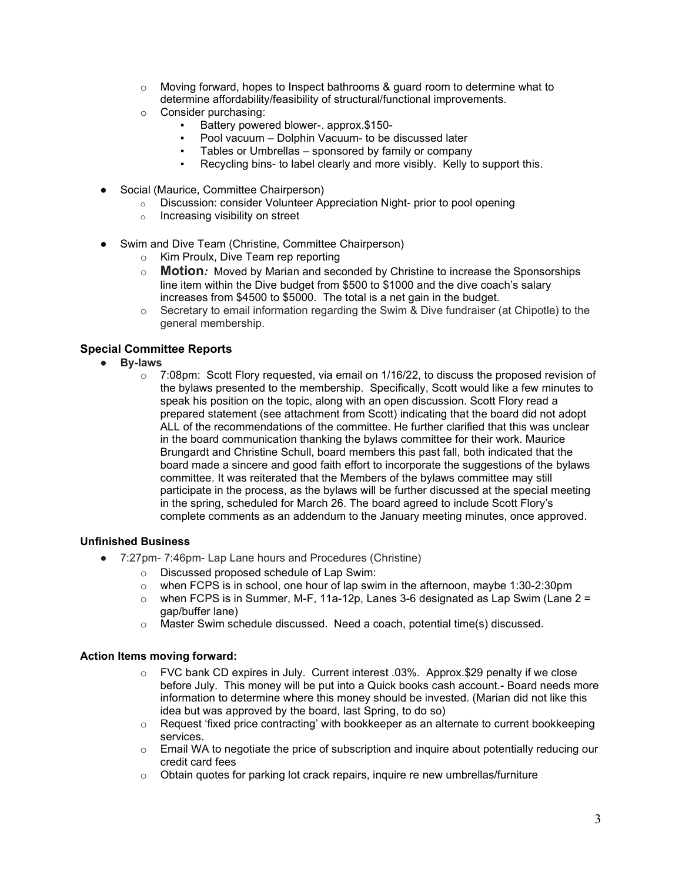- o Moving forward, hopes to Inspect bathrooms & guard room to determine what to determine affordability/feasibility of structural/functional improvements.
- o Consider purchasing:
	- Battery powered blower-. approx.\$150-
	- Pool vacuum Dolphin Vacuum- to be discussed later
	- Tables or Umbrellas sponsored by family or company
	- Recycling bins- to label clearly and more visibly. Kelly to support this.
- Social (Maurice, Committee Chairperson)
	- o Discussion: consider Volunteer Appreciation Night- prior to pool opening
	- o Increasing visibility on street
- Swim and Dive Team (Christine, Committee Chairperson)
	- o Kim Proulx, Dive Team rep reporting
	- $\circ$  **Motion:** Moved by Marian and seconded by Christine to increase the Sponsorships line item within the Dive budget from \$500 to \$1000 and the dive coach's salary increases from \$4500 to \$5000. The total is a net gain in the budget.
	- $\circ$  Secretary to email information regarding the Swim & Dive fundraiser (at Chipotle) to the general membership.

### Special Committee Reports

- By-laws
	- $\circ$  7:08pm: Scott Flory requested, via email on 1/16/22, to discuss the proposed revision of the bylaws presented to the membership. Specifically, Scott would like a few minutes to speak his position on the topic, along with an open discussion. Scott Flory read a prepared statement (see attachment from Scott) indicating that the board did not adopt ALL of the recommendations of the committee. He further clarified that this was unclear in the board communication thanking the bylaws committee for their work. Maurice Brungardt and Christine Schull, board members this past fall, both indicated that the board made a sincere and good faith effort to incorporate the suggestions of the bylaws committee. It was reiterated that the Members of the bylaws committee may still participate in the process, as the bylaws will be further discussed at the special meeting in the spring, scheduled for March 26. The board agreed to include Scott Flory's complete comments as an addendum to the January meeting minutes, once approved.

### Unfinished Business

- 7:27pm- 7:46pm- Lap Lane hours and Procedures (Christine)
	- o Discussed proposed schedule of Lap Swim:
	- $\circ$  when FCPS is in school, one hour of lap swim in the afternoon, maybe 1:30-2:30pm
	- $\circ$  when FCPS is in Summer, M-F, 11a-12p, Lanes 3-6 designated as Lap Swim (Lane 2 = gap/buffer lane)
	- o Master Swim schedule discussed. Need a coach, potential time(s) discussed.

### Action Items moving forward:

- $\circ$  FVC bank CD expires in July. Current interest .03%. Approx.\$29 penalty if we close before July. This money will be put into a Quick books cash account.- Board needs more information to determine where this money should be invested. (Marian did not like this idea but was approved by the board, last Spring, to do so)
- $\circ$  Request 'fixed price contracting' with bookkeeper as an alternate to current bookkeeping services.
- $\circ$  Email WA to negotiate the price of subscription and inquire about potentially reducing our credit card fees
- $\circ$  Obtain quotes for parking lot crack repairs, inquire re new umbrellas/furniture